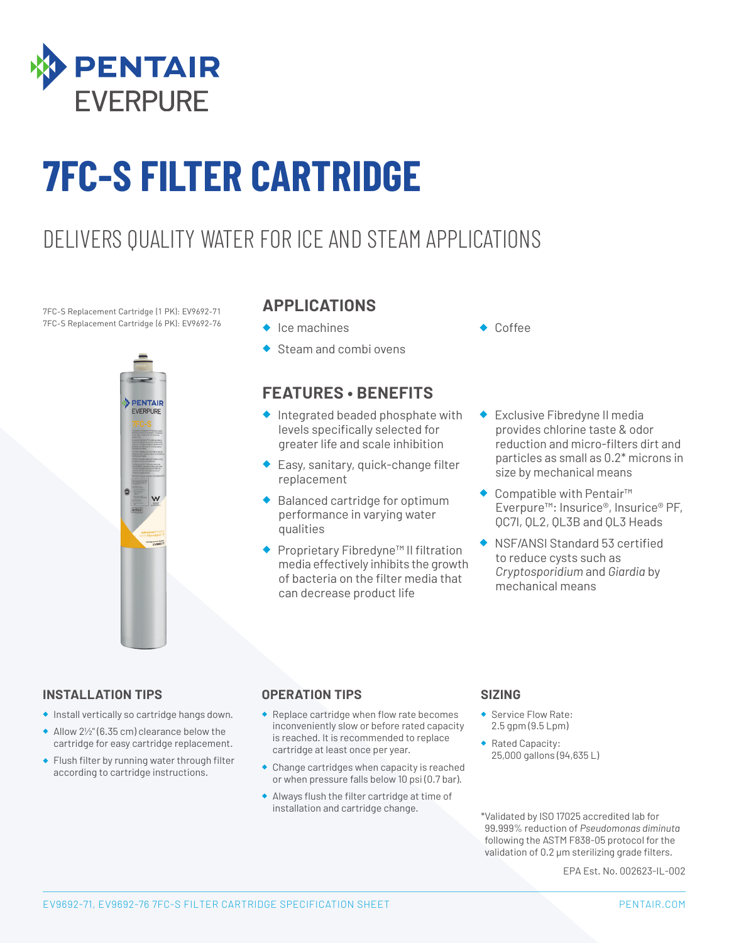

# **7FC-S FILTER CARTRIDGE**

## DELIVERS QUALITY WATER FOR ICE AND STEAM APPLICATIONS

7FC-S Replacement Cartridge (1 PK): EV9692-71 7FC-S Replacement Cartridge (6 PK): EV9692-76



### **APPLICATIONS**

- ◆ Ice machines
- ◆ Steam and combi ovens

### **FEATURES • BENEFITS**

- ◆ Integrated beaded phosphate with levels specifically selected for greater life and scale inhibition
- ◆ Easy, sanitary, quick-change filter replacement
- ◆ Balanced cartridge for optimum performance in varying water qualities
- ◆ Proprietary Fibredyne™ II filtration media effectively inhibits the growth of bacteria on the filter media that can decrease product life
- Coffee
- ◆ Exclusive Fibredyne II media provides chlorine taste & odor reduction and micro-filters dirt and particles as small as 0.2\* microns in size by mechanical means
- ◆ Compatible with Pentair<sup>™</sup> Everpure™: Insurice®, Insurice® PF, QC7I, QL2, QL3B and QL3 Heads
- ◆ NSF/ANSI Standard 53 certified to reduce cysts such as *Cryptosporidium* and *Giardia* by mechanical means

#### **INSTALLATION TIPS**

- ◆ Install vertically so cartridge hangs down.
- ◆ Allow 2½" (6.35 cm) clearance below the cartridge for easy cartridge replacement.
- ◆ Flush filter by running water through filter according to cartridge instructions.

#### **OPERATION TIPS**

- ◆ Replace cartridge when flow rate becomes inconveniently slow or before rated capacity is reached. It is recommended to replace cartridge at least once per year.
- ◆ Change cartridges when capacity is reached or when pressure falls below 10 psi (0.7 bar).
- ◆ Always flush the filter cartridge at time of installation and cartridge change.

#### **SIZING**

- ◆ Service Flow Rate: 2.5 gpm (9.5 Lpm)
- ◆ Rated Capacity: 25,000 gallons (94,635 L)

\*Validated by ISO 17025 accredited lab for 99.999% reduction of *Pseudomonas diminuta* following the ASTM F838-05 protocol for the validation of 0.2 μm sterilizing grade filters.

EPA Est. No. 002623-IL-002